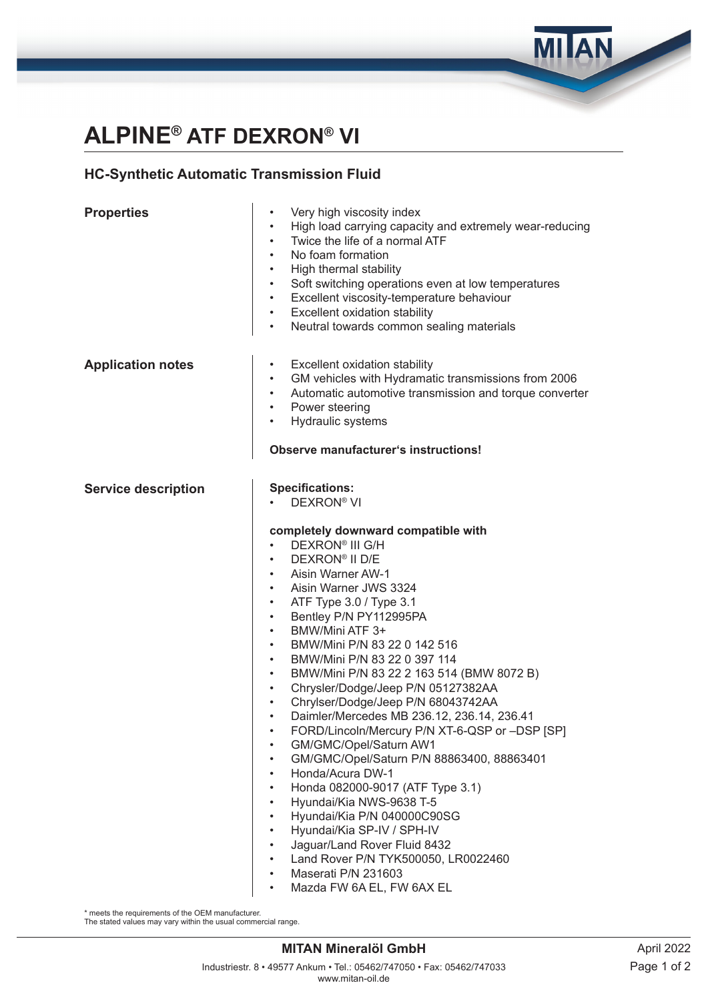# **ALPINE® ATF DEXRON® VI**

### **HC-Synthetic Automatic Transmission Fluid**

#### **Properties •** Very high viscosity index • High load carrying capacity and extremely wear-reducing Twice the life of a normal ATF • No foam formation<br>• High thermal stabil • High thermal stability • Soft switching operations even at low temperatures • Excellent viscosity-temperature behaviour **Excellent oxidation stability** • Neutral towards common sealing materials **Application notes** • Excellent oxidation stability • GM vehicles with Hydramatic transmissions from 2006 • Automatic automotive transmission and torque converter Power steering • Hydraulic systems **Observe manufacturer's instructions! Service description Specifications:** • DEXRON® VI **completely downward compatible with** • DEXRON® III G/H • DEXRON® II D/E • Aisin Warner AW-1 • Aisin Warner JWS 3324 • ATF Type 3.0 / Type 3.1 Bentley P/N PY112995PA • BMW/Mini ATF 3+ • BMW/Mini P/N 83 22 0 142 516 • BMW/Mini P/N 83 22 0 397 114 • BMW/Mini P/N 83 22 2 163 514 (BMW 8072 B) • Chrysler/Dodge/Jeep P/N 05127382AA • Chrylser/Dodge/Jeep P/N 68043742AA • Daimler/Mercedes MB 236.12, 236.14, 236.41 • FORD/Lincoln/Mercury P/N XT-6-QSP or –DSP [SP] • GM/GMC/Opel/Saturn AW1 • GM/GMC/Opel/Saturn P/N 88863400, 88863401 • Honda/Acura DW-1 • Honda 082000-9017 (ATF Type 3.1) • Hyundai/Kia NWS-9638 T-5 • Hyundai/Kia P/N 040000C90SG • Hyundai/Kia SP-IV / SPH-IV • Jaguar/Land Rover Fluid 8432 • Land Rover P/N TYK500050, LR0022460 • Maserati P/N 231603

• Mazda FW 6A EL, FW 6AX EL

\* meets the requirements of the OEM manufacturer.

The stated values may vary within the usual commercial range.

#### **MITAN Mineralöl GmbH**